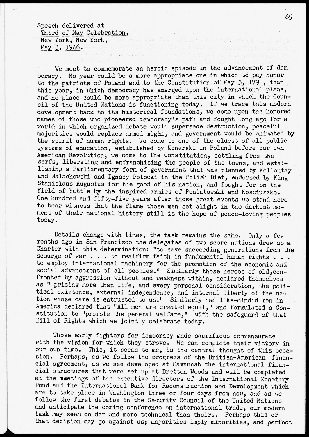Speech delivered at

Third of May Celebration, New York, New York, May 3, 1946.

We meet to commemorate an heroic episode in the advancement of democracy. No year could be a more appropriate one in which to pay honor to the patriots of Poland and to the Constitution of May 3, 1791, than this year, in which democracy has emerged upon the international plane, ana no place could be more appropriate than this city in which the Council of the United Nations is functioning today. If we trace this modern development back to its historical foundations, we come upon the honored names of those who pioneered democracy's path and fought long ago for a world in which organized debate would supersede destruction, peaceful majorities would replace armed might, and government would be animated by the spirit of human rights. We come to one of the oldest of all public systems of education, established by Konarski in Poland before our own American Revolution; we come to the Constitution, settling free the serfs, liberating and enfranchising the people of the towns, and establishing a Parliamentary form of government that was planned by Kollontay and Malachowski and Ignacy Potocki in the Polish Diet, endorsed by King Stanislaus Augustus for the good of his nation, and fought for on the field of battle by the inspired armies of Poniatowski and Kosciuszko. One hundred and fifty-five years after those great events we stand here to bear witness that the flame those men set alight in the darkest moment of their national history still is the hope of peace-loving peoples today.

Details change with times, the task remains the same. Only a few months ago in San Francisco the delegates of two score nations drew up a Charter with this determination: "to save succeeding generations from the scourge of war  $\ldots$  to reaffirm faith in fundamental human rights  $\ldots$ . to employ international machinery for the promotion of the economic and social advancement of all peoples." Similarly those heroes of old, confronted by aggression without and weakness within, declared themselves as " prizing more than life, and every personal consideration, the political existence, external independence, and internal liberty of the nation whose care is entrusted to us." Similarly had like-minded men in America declared that "All men are created equal," and formulated a Constitution to "promote the general welfare," with the safeguard of that Bill of Rights which we jointly celebrate today.

Those early fighters for democracy made sacrifices commensurate with the vision for which they strove. We can complete their victory in our own time. This, it seems to me, is the central thought of this occasion. Perhaps, as we follow the progress of the British-American financial agreement, as we see developed at Savannah the international financial structures that were set up at Bretton Woods and will be completed at the meetings of the executive directors of the International Monetary-Fund and the International Bank for Reconstruction and Development which are to take place in Washington three or four days from now, and as we follow the first debates in the Security Council of the United Nations and anticipate the coming conference on international trade, our modern task may seem colder and more technical than theirs. Perhaps this or that decision may go against us; majorities imply minorities, and perfect